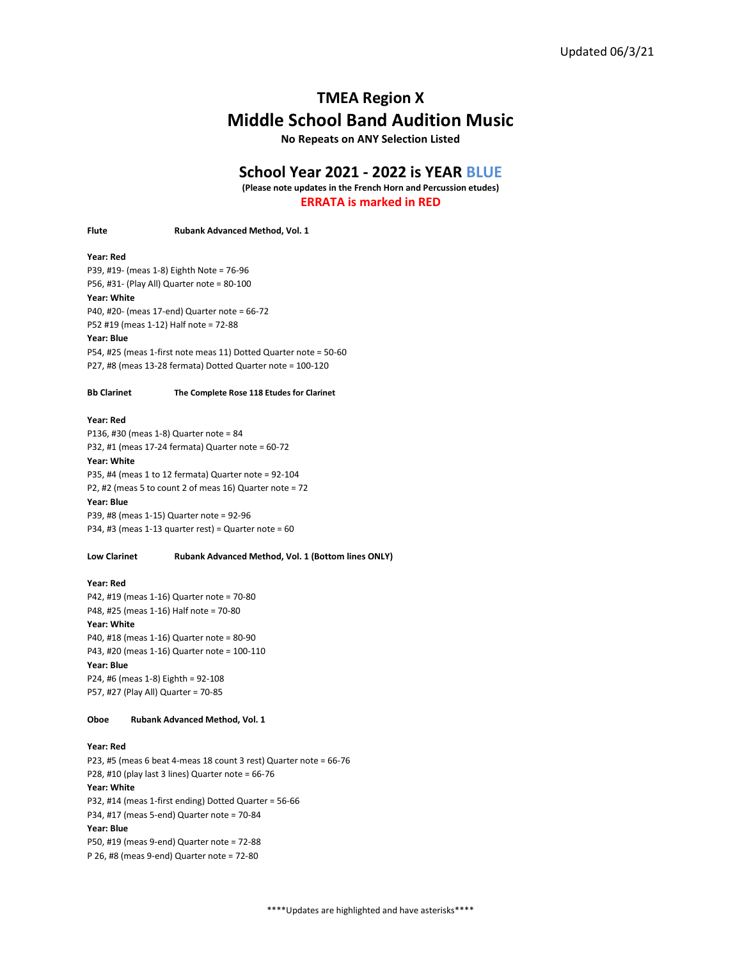# TMEA Region X Middle School Band Audition Music

No Repeats on ANY Selection Listed

# School Year 2021 - 2022 is YEAR BLUE

(Please note updates in the French Horn and Percussion etudes) ERRATA is marked in RED

Flute Rubank Advanced Method, Vol. 1

### Year: Red

P39, #19- (meas 1-8) Eighth Note = 76-96 P56, #31- (Play All) Quarter note = 80-100

# Year: White

P40, #20- (meas 17-end) Quarter note = 66-72 P52 #19 (meas 1-12) Half note = 72-88

#### Year: Blue

P54, #25 (meas 1-first note meas 11) Dotted Quarter note = 50-60 P27, #8 (meas 13-28 fermata) Dotted Quarter note = 100-120

#### Bb Clarinet The Complete Rose 118 Etudes for Clarinet

# Year: Red

P136, #30 (meas 1-8) Quarter note = 84 P32, #1 (meas 17-24 fermata) Quarter note = 60-72

#### Year: White

P35, #4 (meas 1 to 12 fermata) Quarter note = 92-104 P2, #2 (meas 5 to count 2 of meas 16) Quarter note = 72

#### Year: Blue

P39, #8 (meas 1-15) Quarter note = 92-96 P34, #3 (meas 1-13 quarter rest) = Quarter note = 60

### Low Clarinet Rubank Advanced Method, Vol. 1 (Bottom lines ONLY)

### Year: Red

P42, #19 (meas 1-16) Quarter note = 70-80 P48, #25 (meas 1-16) Half note = 70-80

#### Year: White

P40, #18 (meas 1-16) Quarter note = 80-90 P43, #20 (meas 1-16) Quarter note = 100-110 Year: Blue P24, #6 (meas 1-8) Eighth = 92-108 P57, #27 (Play All) Quarter = 70-85

# Oboe Rubank Advanced Method, Vol. 1

# Year: Red

P23, #5 (meas 6 beat 4-meas 18 count 3 rest) Quarter note = 66-76 P28, #10 (play last 3 lines) Quarter note = 66-76 Year: White P32, #14 (meas 1-first ending) Dotted Quarter = 56-66 P34, #17 (meas 5-end) Quarter note = 70-84 Year: Blue P50, #19 (meas 9-end) Quarter note = 72-88 P 26, #8 (meas 9-end) Quarter note = 72-80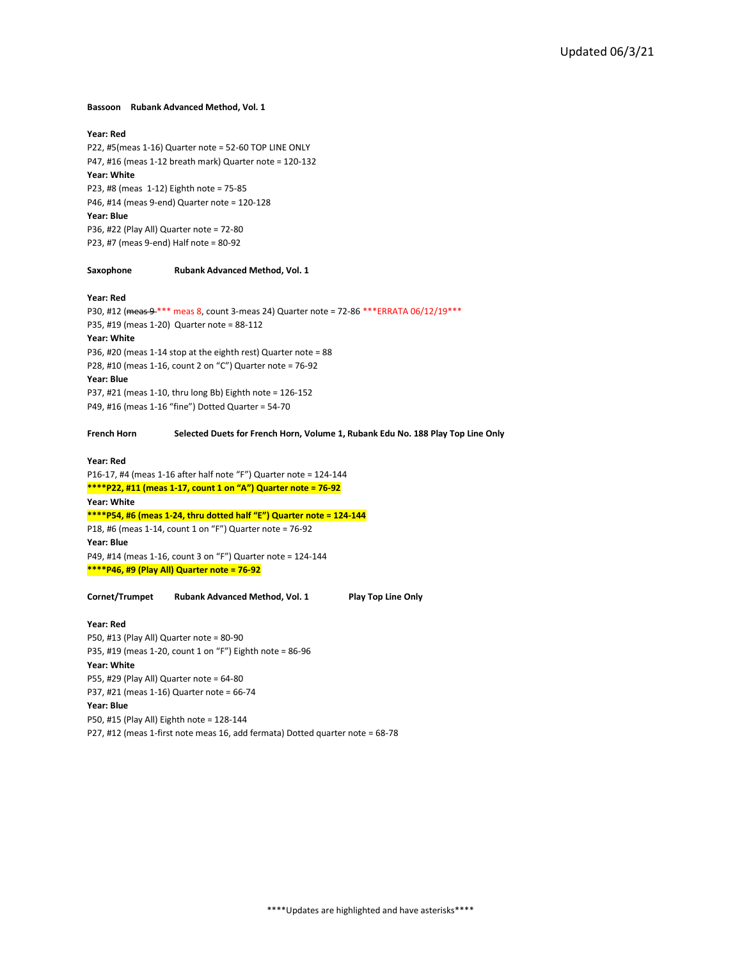### Bassoon Rubank Advanced Method, Vol. 1

# Year: Red

P22, #5(meas 1-16) Quarter note = 52-60 TOP LINE ONLY P47, #16 (meas 1-12 breath mark) Quarter note = 120-132 Year: White P23, #8 (meas 1-12) Eighth note = 75-85 P46, #14 (meas 9-end) Quarter note = 120-128 Year: Blue P36, #22 (Play All) Quarter note = 72-80 P23, #7 (meas 9-end) Half note = 80-92

# Saxophone Rubank Advanced Method, Vol. 1

#### Year: Red

P30, #12 (meas 9 \*\*\* meas 8, count 3-meas 24) Quarter note = 72-86 \*\*\* ERRATA 06/12/19 \*\*\* P35, #19 (meas 1-20) Quarter note = 88-112 Year: White P36, #20 (meas 1-14 stop at the eighth rest) Quarter note = 88 P28, #10 (meas 1-16, count 2 on "C") Quarter note = 76-92 Year: Blue

P37, #21 (meas 1-10, thru long Bb) Eighth note = 126-152 P49, #16 (meas 1-16 "fine") Dotted Quarter = 54-70

# French Horn Selected Duets for French Horn, Volume 1, Rubank Edu No. 188 Play Top Line Only

## Year: Red

P16-17, #4 (meas 1-16 after half note "F") Quarter note = 124-144  $***P22$ , #11 (meas 1-17, count 1 on "A") Quarter note = 76-92 Year: White  $***P54$ , #6 (meas 1-24, thru dotted half "E") Quarter note = 124-144 P18, #6 (meas 1-14, count 1 on "F") Quarter note = 76-92 Year: Blue P49, #14 (meas 1-16, count 3 on "F") Quarter note = 124-144  $***P46, #9$  (Play All) Quarter note = 76-92

Cornet/Trumpet Rubank Advanced Method, Vol. 1 Play Top Line Only

## Year: Red

P50, #13 (Play All) Quarter note = 80-90 P35, #19 (meas 1-20, count 1 on "F") Eighth note = 86-96 Year: White P55, #29 (Play All) Quarter note = 64-80 P37, #21 (meas 1-16) Quarter note = 66-74 Year: Blue P50, #15 (Play All) Eighth note = 128-144 P27, #12 (meas 1-first note meas 16, add fermata) Dotted quarter note = 68-78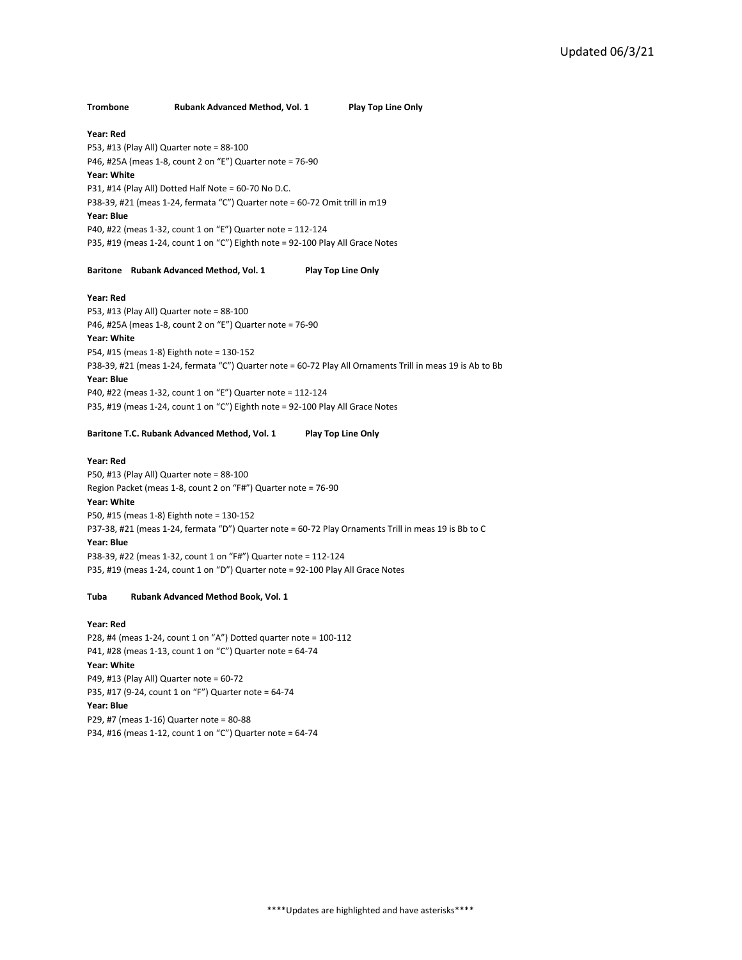# Trombone Rubank Advanced Method, Vol. 1 Play Top Line Only

### Year: Red

P53, #13 (Play All) Quarter note = 88-100 P46, #25A (meas 1-8, count 2 on "E") Quarter note = 76-90 Year: White P31, #14 (Play All) Dotted Half Note = 60-70 No D.C. P38-39, #21 (meas 1-24, fermata "C") Quarter note = 60-72 Omit trill in m19 Year: Blue P40, #22 (meas 1-32, count 1 on "E") Quarter note = 112-124 P35, #19 (meas 1-24, count 1 on "C") Eighth note = 92-100 Play All Grace Notes

# Baritone Rubank Advanced Method, Vol. 1 Play Top Line Only

#### Year: Red

P53, #13 (Play All) Quarter note = 88-100 P46, #25A (meas 1-8, count 2 on "E") Quarter note = 76-90

# Year: White

P54, #15 (meas 1-8) Eighth note = 130-152 P38-39, #21 (meas 1-24, fermata "C") Quarter note = 60-72 Play All Ornaments Trill in meas 19 is Ab to Bb Year: Blue P40, #22 (meas 1-32, count 1 on "E") Quarter note = 112-124 P35, #19 (meas 1-24, count 1 on "C") Eighth note = 92-100 Play All Grace Notes

# Baritone T.C. Rubank Advanced Method, Vol. 1 Play Top Line Only

Year: Red

P50, #13 (Play All) Quarter note = 88-100 Region Packet (meas 1-8, count 2 on "F#") Quarter note = 76-90

# Year: White

P50, #15 (meas 1-8) Eighth note = 130-152 P37-38, #21 (meas 1-24, fermata "D") Quarter note = 60-72 Play Ornaments Trill in meas 19 is Bb to C Year: Blue P38-39, #22 (meas 1-32, count 1 on "F#") Quarter note = 112-124 P35, #19 (meas 1-24, count 1 on "D") Quarter note = 92-100 Play All Grace Notes

#### Tuba Rubank Advanced Method Book, Vol. 1

#### Year: Red

P28, #4 (meas 1-24, count 1 on "A") Dotted quarter note = 100-112 P41, #28 (meas 1-13, count 1 on "C") Quarter note = 64-74 Year: White P49, #13 (Play All) Quarter note = 60-72 P35, #17 (9-24, count 1 on "F") Quarter note = 64-74 Year: Blue P29, #7 (meas 1-16) Quarter note = 80-88 P34, #16 (meas 1-12, count 1 on "C") Quarter note = 64-74